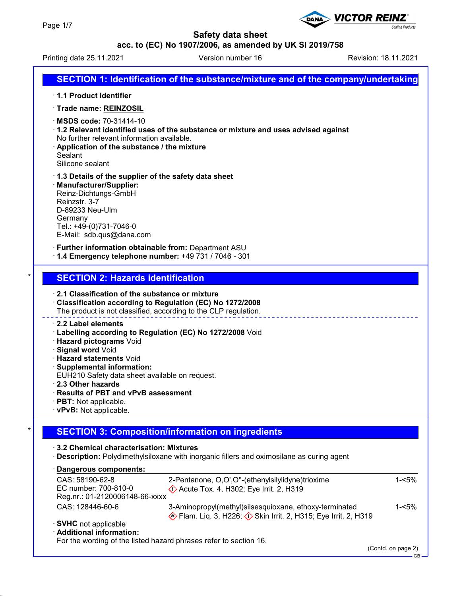

Printing date 25.11.2021 **Version number 16** Revision: 18.11.2021

**Sealing Products** 

**VICTOR REINZ** 

# **SECTION 1: Identification of the substance/mixture and of the company/undertaking**

- · **1.1 Product identifier**
- · **Trade name: REINZOSIL**
- · **MSDS code:** 70-31414-10
- · **1.2 Relevant identified uses of the substance or mixture and uses advised against** No further relevant information available.
- · **Application of the substance / the mixture Sealant** Silicone sealant
- · **1.3 Details of the supplier of the safety data sheet**
- · **Manufacturer/Supplier:** Reinz-Dichtungs-GmbH Reinzstr. 3-7 D-89233 Neu-Ulm Germany Tel.: +49-(0)731-7046-0 E-Mail: sdb.qus@dana.com

· **Further information obtainable from:** Department ASU

· **1.4 Emergency telephone number:** +49 731 / 7046 - 301

### **SECTION 2: Hazards identification**

- · **2.1 Classification of the substance or mixture**
- · **Classification according to Regulation (EC) No 1272/2008** The product is not classified, according to the CLP regulation.

#### · **2.2 Label elements**

- · **Labelling according to Regulation (EC) No 1272/2008** Void
- · **Hazard pictograms** Void
- · **Signal word** Void
- · **Hazard statements** Void
- · **Supplemental information:**
- EUH210 Safety data sheet available on request.
- · **2.3 Other hazards**
- · **Results of PBT and vPvB assessment**
- · **PBT:** Not applicable.
- · **vPvB:** Not applicable.

# **SECTION 3: Composition/information on ingredients**

· **3.2 Chemical characterisation: Mixtures**

· **Description:** Polydimethylsiloxane with inorganic fillers and oximosilane as curing agent

#### **Dangerous components:** ·

| CAS: 58190-62-8                                                   | 2-Pentanone, O,O',O"-(ethenylsilylidyne)trioxime                                             | 1-<5%    |
|-------------------------------------------------------------------|----------------------------------------------------------------------------------------------|----------|
| EC number: 700-810-0                                              | <b>Example 2.</b> Acute Tox. 4, H302; Eye Irrit. 2, H319                                     |          |
| Reg.nr.: 01-2120006148-66-xxxx                                    |                                                                                              |          |
| CAS: 128446-60-6                                                  | 3-Aminopropyl(methyl)silsesquioxane, ethoxy-terminated                                       | $1 - 5%$ |
|                                                                   | <b>Example 18 Flam.</b> Lig. 3, H226; $\diamondsuit$ Skin Irrit. 2, H315; Eye Irrit. 2, H319 |          |
| · SVHC not applicable                                             |                                                                                              |          |
| · Additional information:                                         |                                                                                              |          |
| For the wording of the listed hazard phrases refer to section 16. |                                                                                              |          |

(Contd. on page 2)

GB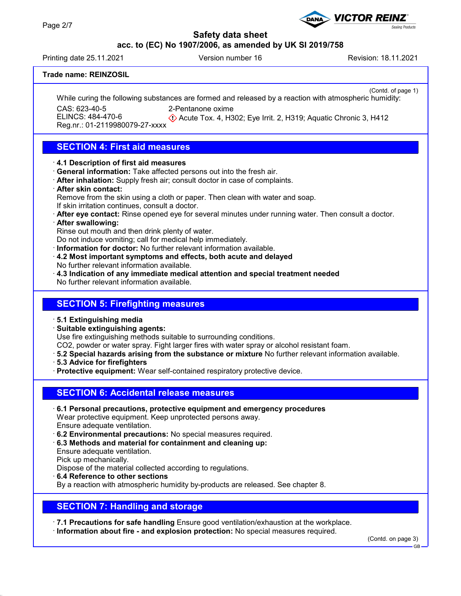## **acc. to (EC) No 1907/2006, as amended by UK SI 2019/758**

Printing date 25.11.2021 **Version number 16** Revision: 18.11.2021

**Sealing Products** 

**VICTOR REINZ** 

### **Trade name: REINZOSIL**

(Contd. of page 1) While curing the following substances are formed and released by a reaction with atmospheric humidity: CAS: 623-40-5 ELINCS: 484-470-6 2-Pentanone oxime

Reg.nr.: 01-2119980079-27-xxxx

Acute Tox. 4, H302; Eye Irrit. 2, H319; Aquatic Chronic 3, H412

# **SECTION 4: First aid measures**

### · **4.1 Description of first aid measures**

- · **General information:** Take affected persons out into the fresh air.
- · **After inhalation:** Supply fresh air; consult doctor in case of complaints.

#### · **After skin contact:**

Remove from the skin using a cloth or paper. Then clean with water and soap. If skin irritation continues, consult a doctor.

· **After eye contact:** Rinse opened eye for several minutes under running water. Then consult a doctor.

#### · **After swallowing:**

Rinse out mouth and then drink plenty of water.

Do not induce vomiting; call for medical help immediately.

· **Information for doctor:** No further relevant information available.

- · **4.2 Most important symptoms and effects, both acute and delayed** No further relevant information available.
- · **4.3 Indication of any immediate medical attention and special treatment needed** No further relevant information available.

## **SECTION 5: Firefighting measures**

- · **5.1 Extinguishing media**
- · **Suitable extinguishing agents:**

Use fire extinguishing methods suitable to surrounding conditions.

- CO2, powder or water spray. Fight larger fires with water spray or alcohol resistant foam.
- · **5.2 Special hazards arising from the substance or mixture** No further relevant information available.
- · **5.3 Advice for firefighters**
- · **Protective equipment:** Wear self-contained respiratory protective device.

# **SECTION 6: Accidental release measures**

- · **6.1 Personal precautions, protective equipment and emergency procedures** Wear protective equipment. Keep unprotected persons away. Ensure adequate ventilation.
- · **6.2 Environmental precautions:** No special measures required.
- · **6.3 Methods and material for containment and cleaning up:**
- Ensure adequate ventilation.

Pick up mechanically.

Dispose of the material collected according to regulations.

· **6.4 Reference to other sections**

By a reaction with atmospheric humidity by-products are released. See chapter 8.

# **SECTION 7: Handling and storage**

· **7.1 Precautions for safe handling** Ensure good ventilation/exhaustion at the workplace.

· **Information about fire - and explosion protection:** No special measures required.

(Contd. on page 3)

GB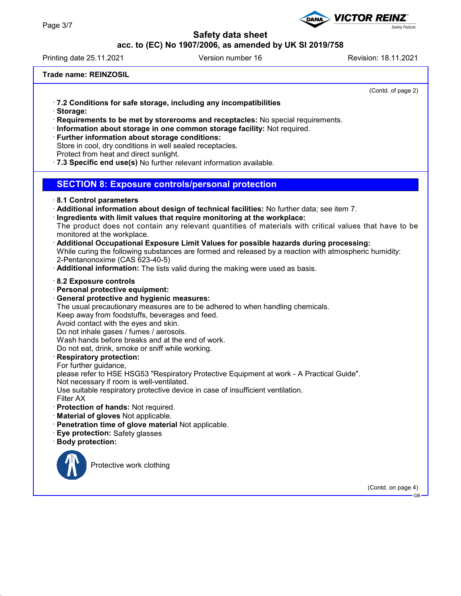## **acc. to (EC) No 1907/2006, as amended by UK SI 2019/758**

Printing date 25.11.2021 **Version number 16** Revision: 18.11.2021

**VICTOR REINZ** 

### **Trade name: REINZOSIL**

(Contd. of page 2)

- · **7.2 Conditions for safe storage, including any incompatibilities**
- · **Storage:**
- · **Requirements to be met by storerooms and receptacles:** No special requirements.
- · **Information about storage in one common storage facility:** Not required.
- · **Further information about storage conditions:**
- Store in cool, dry conditions in well sealed receptacles.
- Protect from heat and direct sunlight.
- · **7.3 Specific end use(s)** No further relevant information available.

### **SECTION 8: Exposure controls/personal protection**

#### · **8.1 Control parameters**

- · **Additional information about design of technical facilities:** No further data; see item 7.
- · **Ingredients with limit values that require monitoring at the workplace:**
- The product does not contain any relevant quantities of materials with critical values that have to be monitored at the workplace.
- · **Additional Occupational Exposure Limit Values for possible hazards during processing:**
- While curing the following substances are formed and released by a reaction with atmospheric humidity: 2-Pentanonoxime (CAS 623-40-5)
- · **Additional information:** The lists valid during the making were used as basis.

#### · **8.2 Exposure controls**

- · **Personal protective equipment:**
- · **General protective and hygienic measures:**
- The usual precautionary measures are to be adhered to when handling chemicals.

Keep away from foodstuffs, beverages and feed.

- Avoid contact with the eyes and skin.
- Do not inhale gases / fumes / aerosols.

Wash hands before breaks and at the end of work.

Do not eat, drink, smoke or sniff while working.

#### · **Respiratory protection:**

For further guidance.

please refer to HSE HSG53 "Respiratory Protective Equipment at work - A Practical Guide".

Not necessary if room is well-ventilated.

Use suitable respiratory protective device in case of insufficient ventilation.

- Filter AX
- · **Protection of hands:** Not required.
- · **Material of gloves** Not applicable.
- · **Penetration time of glove material** Not applicable.
- · **Eye protection:** Safety glasses
- · **Body protection:**



Protective work clothing

(Contd. on page 4)

GB

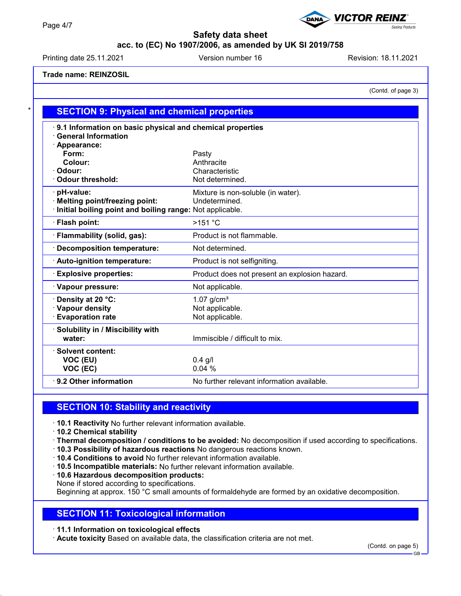## **acc. to (EC) No 1907/2006, as amended by UK SI 2019/758**

Printing date 25.11.2021 Version number 16 Revision: 18.11.2021

**VICTOR REINZ®** 

## **Trade name: REINZOSIL**

(Contd. of page 3)

Sealing Products

| 9.1 Information on basic physical and chemical properties |                                               |
|-----------------------------------------------------------|-----------------------------------------------|
| <b>General Information</b>                                |                                               |
| · Appearance:                                             |                                               |
| Form:                                                     | Pasty                                         |
| Colour:                                                   | Anthracite                                    |
| Odour:                                                    | Characteristic                                |
| <b>Odour threshold:</b>                                   | Not determined.                               |
| · pH-value:                                               | Mixture is non-soluble (in water).            |
| <b>Melting point/freezing point:</b>                      | Undetermined.                                 |
| Initial boiling point and boiling range: Not applicable.  |                                               |
| · Flash point:                                            | $>151$ °C                                     |
| · Flammability (solid, gas):                              | Product is not flammable.                     |
| <b>Decomposition temperature:</b>                         | Not determined.                               |
| · Auto-ignition temperature:                              | Product is not selfigniting.                  |
| <b>Explosive properties:</b>                              | Product does not present an explosion hazard. |
| · Vapour pressure:                                        | Not applicable.                               |
| Density at 20 °C:                                         | $1.07$ g/cm <sup>3</sup>                      |
| · Vapour density                                          | Not applicable.                               |
| <b>Evaporation rate</b>                                   | Not applicable.                               |
| · Solubility in / Miscibility with                        |                                               |
| water:                                                    | Immiscible / difficult to mix.                |
| <b>Solvent content:</b>                                   |                                               |
| VOC (EU)                                                  | $0.4$ g/l                                     |
| VOC (EC)                                                  | 0.04%                                         |

## **SECTION 10: Stability and reactivity**

- · **10.1 Reactivity** No further relevant information available.
- · **10.2 Chemical stability**
- · **Thermal decomposition / conditions to be avoided:** No decomposition if used according to specifications.
- · **10.3 Possibility of hazardous reactions** No dangerous reactions known.
- · **10.4 Conditions to avoid** No further relevant information available.
- · **10.5 Incompatible materials:** No further relevant information available.
- · **10.6 Hazardous decomposition products:**
- None if stored according to specifications.

Beginning at approx. 150 °C small amounts of formaldehyde are formed by an oxidative decomposition.

## **SECTION 11: Toxicological information**

· **11.1 Information on toxicological effects**

· **Acute toxicity** Based on available data, the classification criteria are not met.

GB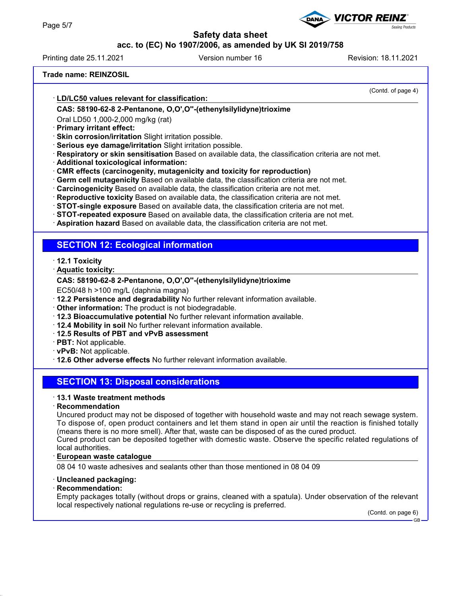## **acc. to (EC) No 1907/2006, as amended by UK SI 2019/758**

Printing date 25.11.2021 **Version number 16** Revision: 18.11.2021

**VICTOR REINZ** 

### **Trade name: REINZOSIL**

(Contd. of page 4)

**Sealing Products** 

#### **LD/LC50 values relevant for classification:** · **CAS: 58190-62-8 2-Pentanone, O,O',O''-(ethenylsilylidyne)trioxime**

Oral LD50 1,000-2,000 mg/kg (rat)

- · **Primary irritant effect:**
- · **Skin corrosion/irritation** Slight irritation possible.
- · **Serious eye damage/irritation** Slight irritation possible.
- · **Respiratory or skin sensitisation** Based on available data, the classification criteria are not met.
- · **Additional toxicological information:**
- · **CMR effects (carcinogenity, mutagenicity and toxicity for reproduction)**
- · **Germ cell mutagenicity** Based on available data, the classification criteria are not met.
- · **Carcinogenicity** Based on available data, the classification criteria are not met.
- · **Reproductive toxicity** Based on available data, the classification criteria are not met.
- · **STOT-single exposure** Based on available data, the classification criteria are not met.
- · **STOT-repeated exposure** Based on available data, the classification criteria are not met.
- · **Aspiration hazard** Based on available data, the classification criteria are not met.

## **SECTION 12: Ecological information**

- · **12.1 Toxicity**
- **Aquatic toxicity:** ·

### **CAS: 58190-62-8 2-Pentanone, O,O',O''-(ethenylsilylidyne)trioxime**

EC50/48 h >100 mg/L (daphnia magna)

- · **12.2 Persistence and degradability** No further relevant information available.
- · **Other information:** The product is not biodegradable.
- · **12.3 Bioaccumulative potential** No further relevant information available.
- · **12.4 Mobility in soil** No further relevant information available.
- · **12.5 Results of PBT and vPvB assessment**
- · **PBT:** Not applicable.
- · **vPvB:** Not applicable.
- · **12.6 Other adverse effects** No further relevant information available.

# **SECTION 13: Disposal considerations**

#### · **13.1 Waste treatment methods**

#### · **Recommendation**

Uncured product may not be disposed of together with household waste and may not reach sewage system. To dispose of, open product containers and let them stand in open air until the reaction is finished totally (means there is no more smell). After that, waste can be disposed of as the cured product.

Cured product can be deposited together with domestic waste. Observe the specific related regulations of local authorities.

#### **European waste catalogue** ·

08 04 10 waste adhesives and sealants other than those mentioned in 08 04 09

#### · **Uncleaned packaging:**

#### · **Recommendation:**

Empty packages totally (without drops or grains, cleaned with a spatula). Under observation of the relevant local respectively national regulations re-use or recycling is preferred.

(Contd. on page 6) **GB**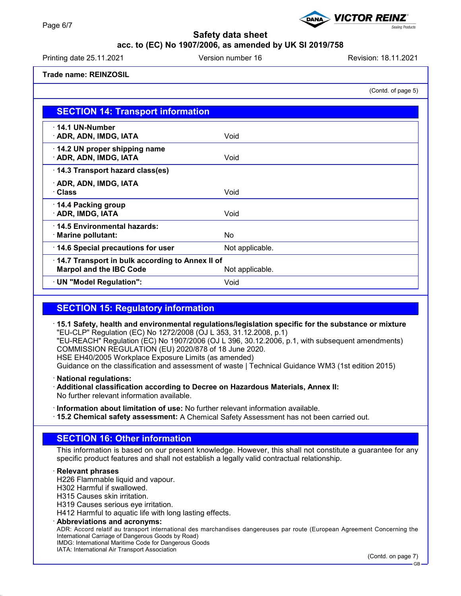## **acc. to (EC) No 1907/2006, as amended by UK SI 2019/758**

Printing date 25.11.2021 **Version number 16** Revision: 18.11.2021

**VICTOR REINZ** 

### **Trade name: REINZOSIL**

(Contd. of page 5)

aling Products

| <b>SECTION 14: Transport information</b>                                                             |                 |  |
|------------------------------------------------------------------------------------------------------|-----------------|--|
| $\cdot$ 14.1 UN-Number<br>· ADR, ADN, IMDG, IATA                                                     | Void            |  |
| 14.2 UN proper shipping name<br>· ADR, ADN, IMDG, IATA                                               | Void            |  |
| 14.3 Transport hazard class(es)                                                                      |                 |  |
| · ADR, ADN, IMDG, IATA<br>· Class                                                                    | Void            |  |
| 14.4 Packing group<br>· ADR, IMDG, IATA                                                              | Void            |  |
| 14.5 Environmental hazards:<br>· Marine pollutant:                                                   | No.             |  |
| 14.6 Special precautions for user                                                                    | Not applicable. |  |
| 14.7 Transport in bulk according to Annex II of<br><b>Marpol and the IBC Code</b><br>Not applicable. |                 |  |
| · UN "Model Regulation":                                                                             | Void            |  |

# **SECTION 15: Regulatory information**

· **15.1 Safety, health and environmental regulations/legislation specific for the substance or mixture** "EU-CLP" Regulation (EC) No 1272/2008 (OJ L 353, 31.12.2008, p.1) "EU-REACH" Regulation (EC) No 1907/2006 (OJ L 396, 30.12.2006, p.1, with subsequent amendments) COMMISSION REGULATION (EU) 2020/878 of 18 June 2020. HSE EH40/2005 Workplace Exposure Limits (as amended) Guidance on the classification and assessment of waste | Technical Guidance WM3 (1st edition 2015)

· **National regulations:**

- · **Additional classification according to Decree on Hazardous Materials, Annex II:** No further relevant information available.
- · **Information about limitation of use:** No further relevant information available.
- · **15.2 Chemical safety assessment:** A Chemical Safety Assessment has not been carried out.

## **SECTION 16: Other information**

This information is based on our present knowledge. However, this shall not constitute a guarantee for any specific product features and shall not establish a legally valid contractual relationship.

· **Relevant phrases**

H226 Flammable liquid and vapour.

H302 Harmful if swallowed.

H315 Causes skin irritation.

H319 Causes serious eye irritation.

H412 Harmful to aquatic life with long lasting effects.

· **Abbreviations and acronyms:**

ADR: Accord relatif au transport international des marchandises dangereuses par route (European Agreement Concerning the International Carriage of Dangerous Goods by Road) IMDG: International Maritime Code for Dangerous Goods

IATA: International Air Transport Association

(Contd. on page 7)